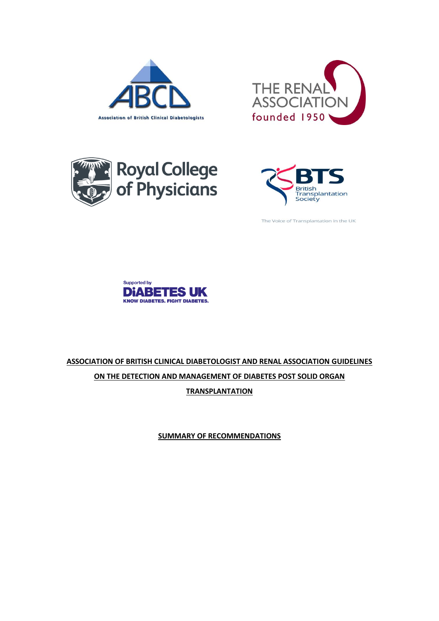







The Voice of Transplantation in the UK



# **ASSOCIATION OF BRITISH CLINICAL DIABETOLOGIST AND RENAL ASSOCIATION GUIDELINES ON THE DETECTION AND MANAGEMENT OF DIABETES POST SOLID ORGAN TRANSPLANTATION**

**SUMMARY OF RECOMMENDATIONS**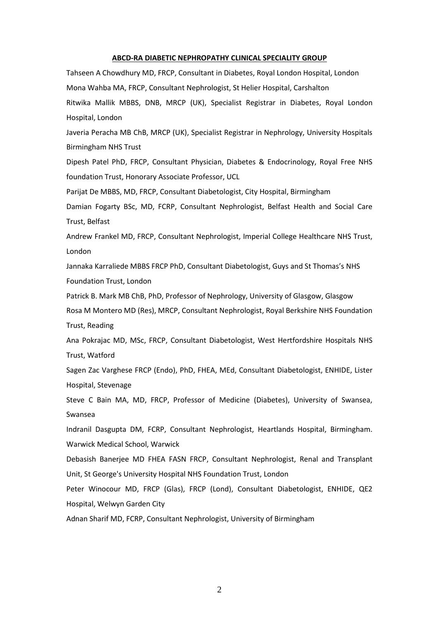#### **ABCD-RA DIABETIC NEPHROPATHY CLINICAL SPECIALITY GROUP**

Tahseen A Chowdhury MD, FRCP, Consultant in Diabetes, Royal London Hospital, London Mona Wahba MA, FRCP, Consultant Nephrologist, St Helier Hospital, Carshalton Ritwika Mallik MBBS, DNB, MRCP (UK), Specialist Registrar in Diabetes, Royal London Hospital, London

Javeria Peracha MB ChB, MRCP (UK), Specialist Registrar in Nephrology, University Hospitals Birmingham NHS Trust

Dipesh Patel PhD, FRCP, Consultant Physician, Diabetes & Endocrinology, Royal Free NHS foundation Trust, Honorary Associate Professor, UCL

Parijat De MBBS, MD, FRCP, Consultant Diabetologist, City Hospital, Birmingham

Damian Fogarty BSc, MD, FCRP, Consultant Nephrologist, Belfast Health and Social Care Trust, Belfast

Andrew Frankel MD, FRCP, Consultant Nephrologist, Imperial College Healthcare NHS Trust, London

Jannaka Karraliede MBBS FRCP PhD, Consultant Diabetologist, Guys and St Thomas's NHS Foundation Trust, London

Patrick B. Mark MB ChB, PhD, Professor of Nephrology, University of Glasgow, Glasgow

Rosa M Montero MD (Res), MRCP, Consultant Nephrologist, Royal Berkshire NHS Foundation Trust, Reading

Ana Pokrajac MD, MSc, FRCP, Consultant Diabetologist, West Hertfordshire Hospitals NHS Trust, Watford

Sagen Zac Varghese FRCP (Endo), PhD, FHEA, MEd, Consultant Diabetologist, ENHIDE, Lister Hospital, Stevenage

Steve C Bain MA, MD, FRCP, Professor of Medicine (Diabetes), University of Swansea, Swansea

Indranil Dasgupta DM, FCRP, Consultant Nephrologist, Heartlands Hospital, Birmingham. Warwick Medical School, Warwick

Debasish Banerjee MD FHEA FASN FRCP, Consultant Nephrologist, Renal and Transplant Unit, St George's University Hospital NHS Foundation Trust, London

Peter Winocour MD, FRCP (Glas), FRCP (Lond), Consultant Diabetologist, ENHIDE, QE2 Hospital, Welwyn Garden City

Adnan Sharif MD, FCRP, Consultant Nephrologist, University of Birmingham

2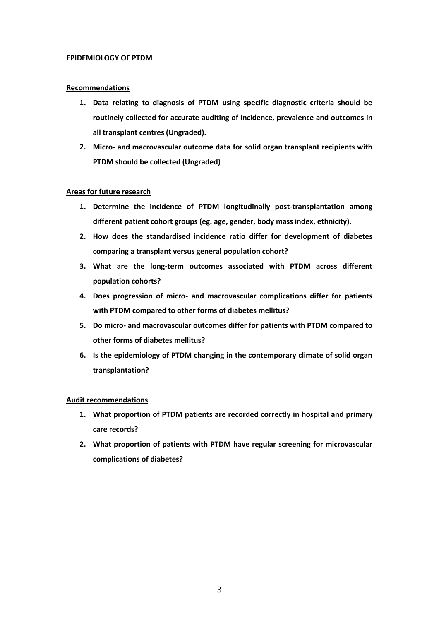#### **EPIDEMIOLOGY OF PTDM**

#### **Recommendations**

- **1. Data relating to diagnosis of PTDM using specific diagnostic criteria should be routinely collected for accurate auditing of incidence, prevalence and outcomes in all transplant centres (Ungraded).**
- **2. Micro- and macrovascular outcome data for solid organ transplant recipients with PTDM should be collected (Ungraded)**

## **Areas for future research**

- **1. Determine the incidence of PTDM longitudinally post-transplantation among different patient cohort groups (eg. age, gender, body mass index, ethnicity).**
- **2. How does the standardised incidence ratio differ for development of diabetes comparing a transplant versus general population cohort?**
- **3. What are the long-term outcomes associated with PTDM across different population cohorts?**
- **4. Does progression of micro- and macrovascular complications differ for patients with PTDM compared to other forms of diabetes mellitus?**
- **5. Do micro- and macrovascular outcomes differ for patients with PTDM compared to other forms of diabetes mellitus?**
- **6. Is the epidemiology of PTDM changing in the contemporary climate of solid organ transplantation?**

- **1. What proportion of PTDM patients are recorded correctly in hospital and primary care records?**
- **2. What proportion of patients with PTDM have regular screening for microvascular complications of diabetes?**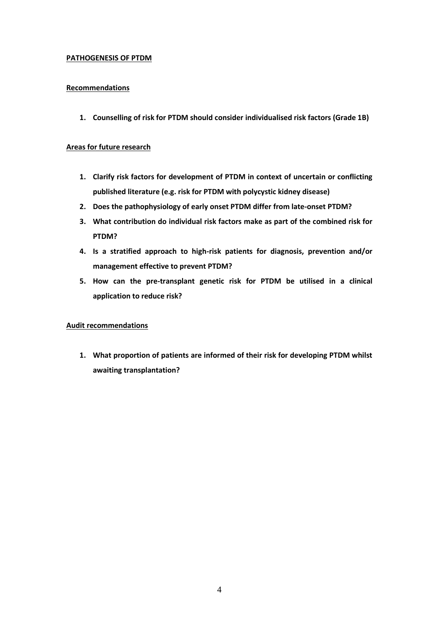## **PATHOGENESIS OF PTDM**

## **Recommendations**

**1. Counselling of risk for PTDM should consider individualised risk factors (Grade 1B)**

#### **Areas for future research**

- **1. Clarify risk factors for development of PTDM in context of uncertain or conflicting published literature (e.g. risk for PTDM with polycystic kidney disease)**
- **2. Does the pathophysiology of early onset PTDM differ from late-onset PTDM?**
- **3. What contribution do individual risk factors make as part of the combined risk for PTDM?**
- **4. Is a stratified approach to high-risk patients for diagnosis, prevention and/or management effective to prevent PTDM?**
- **5. How can the pre-transplant genetic risk for PTDM be utilised in a clinical application to reduce risk?**

## **Audit recommendations**

**1. What proportion of patients are informed of their risk for developing PTDM whilst awaiting transplantation?**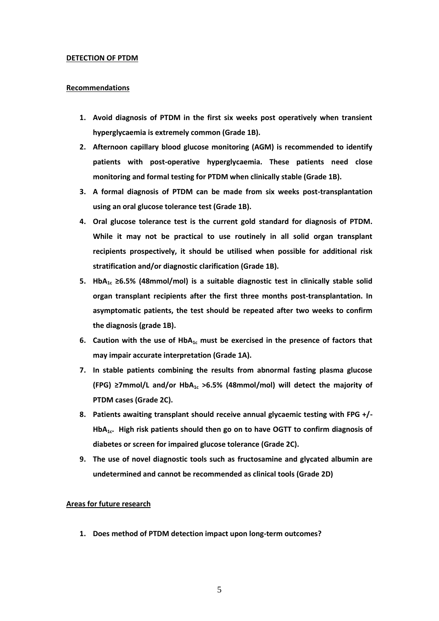#### **DETECTION OF PTDM**

#### **Recommendations**

- **1. Avoid diagnosis of PTDM in the first six weeks post operatively when transient hyperglycaemia is extremely common (Grade 1B).**
- **2. Afternoon capillary blood glucose monitoring (AGM) is recommended to identify patients with post-operative hyperglycaemia. These patients need close monitoring and formal testing for PTDM when clinically stable (Grade 1B).**
- **3. A formal diagnosis of PTDM can be made from six weeks post-transplantation using an oral glucose tolerance test (Grade 1B).**
- **4. Oral glucose tolerance test is the current gold standard for diagnosis of PTDM. While it may not be practical to use routinely in all solid organ transplant recipients prospectively, it should be utilised when possible for additional risk stratification and/or diagnostic clarification (Grade 1B).**
- **5. HbA1c ≥6.5% (48mmol/mol) is a suitable diagnostic test in clinically stable solid organ transplant recipients after the first three months post-transplantation. In asymptomatic patients, the test should be repeated after two weeks to confirm the diagnosis (grade 1B).**
- **6. Caution with the use of HbA1c must be exercised in the presence of factors that may impair accurate interpretation (Grade 1A).**
- **7. In stable patients combining the results from abnormal fasting plasma glucose (FPG) ≥7mmol/L and/or HbA1c >6.5% (48mmol/mol) will detect the majority of PTDM cases (Grade 2C).**
- **8. Patients awaiting transplant should receive annual glycaemic testing with FPG +/- HbA1c. High risk patients should then go on to have OGTT to confirm diagnosis of diabetes or screen for impaired glucose tolerance (Grade 2C).**
- **9. The use of novel diagnostic tools such as fructosamine and glycated albumin are undetermined and cannot be recommended as clinical tools (Grade 2D)**

#### **Areas for future research**

**1. Does method of PTDM detection impact upon long-term outcomes?**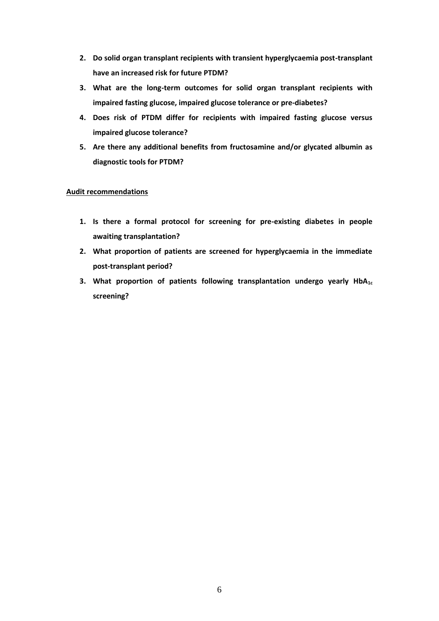- **2. Do solid organ transplant recipients with transient hyperglycaemia post-transplant have an increased risk for future PTDM?**
- **3. What are the long-term outcomes for solid organ transplant recipients with impaired fasting glucose, impaired glucose tolerance or pre-diabetes?**
- **4. Does risk of PTDM differ for recipients with impaired fasting glucose versus impaired glucose tolerance?**
- **5. Are there any additional benefits from fructosamine and/or glycated albumin as diagnostic tools for PTDM?**

- **1. Is there a formal protocol for screening for pre-existing diabetes in people awaiting transplantation?**
- **2. What proportion of patients are screened for hyperglycaemia in the immediate post-transplant period?**
- **3. What proportion of patients following transplantation undergo yearly HbA1c screening?**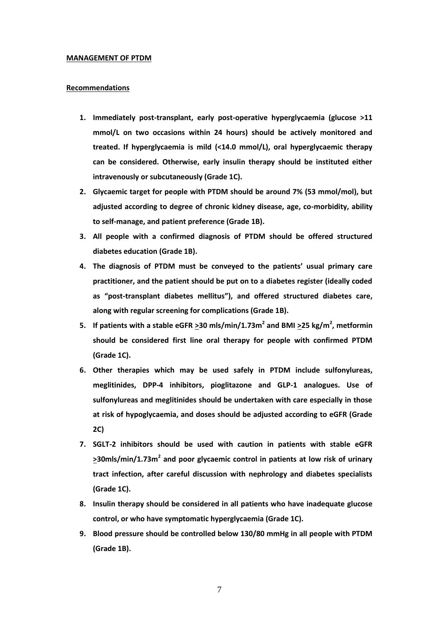#### **MANAGEMENT OF PTDM**

#### **Recommendations**

- **1. Immediately post-transplant, early post-operative hyperglycaemia (glucose >11 mmol/L on two occasions within 24 hours) should be actively monitored and treated. If hyperglycaemia is mild (<14.0 mmol/L), oral hyperglycaemic therapy can be considered. Otherwise, early insulin therapy should be instituted either intravenously or subcutaneously (Grade 1C).**
- **2. Glycaemic target for people with PTDM should be around 7% (53 mmol/mol), but adjusted according to degree of chronic kidney disease, age, co-morbidity, ability to self-manage, and patient preference (Grade 1B).**
- **3. All people with a confirmed diagnosis of PTDM should be offered structured diabetes education (Grade 1B).**
- **4. The diagnosis of PTDM must be conveyed to the patients' usual primary care practitioner, and the patient should be put on to a diabetes register (ideally coded as "post-transplant diabetes mellitus"), and offered structured diabetes care, along with regular screening for complications (Grade 1B).**
- **5.** If patients with a stable eGFR  $\geq$ 30 mls/min/1.73m<sup>2</sup> and BMI  $\geq$ 25 kg/m<sup>2</sup>, metformin **should be considered first line oral therapy for people with confirmed PTDM (Grade 1C).**
- **6. Other therapies which may be used safely in PTDM include sulfonylureas, meglitinides, DPP-4 inhibitors, pioglitazone and GLP-1 analogues. Use of sulfonylureas and meglitinides should be undertaken with care especially in those at risk of hypoglycaemia, and doses should be adjusted according to eGFR (Grade 2C)**
- **7. SGLT-2 inhibitors should be used with caution in patients with stable eGFR >30mls/min/1.73m<sup>2</sup> and poor glycaemic control in patients at low risk of urinary tract infection, after careful discussion with nephrology and diabetes specialists (Grade 1C).**
- **8. Insulin therapy should be considered in all patients who have inadequate glucose control, or who have symptomatic hyperglycaemia (Grade 1C).**
- **9. Blood pressure should be controlled below 130/80 mmHg in all people with PTDM (Grade 1B).**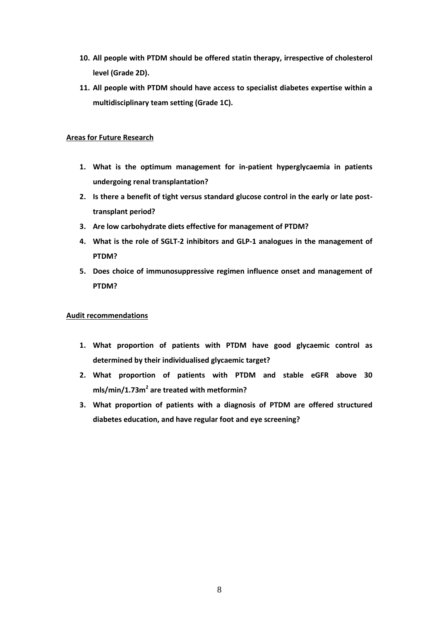- **10. All people with PTDM should be offered statin therapy, irrespective of cholesterol level (Grade 2D).**
- **11. All people with PTDM should have access to specialist diabetes expertise within a multidisciplinary team setting (Grade 1C).**

## **Areas for Future Research**

- **1. What is the optimum management for in-patient hyperglycaemia in patients undergoing renal transplantation?**
- **2. Is there a benefit of tight versus standard glucose control in the early or late posttransplant period?**
- **3. Are low carbohydrate diets effective for management of PTDM?**
- **4. What is the role of SGLT-2 inhibitors and GLP-1 analogues in the management of PTDM?**
- **5. Does choice of immunosuppressive regimen influence onset and management of PTDM?**

- **1. What proportion of patients with PTDM have good glycaemic control as determined by their individualised glycaemic target?**
- **2. What proportion of patients with PTDM and stable eGFR above 30 mls/min/1.73m<sup>2</sup> are treated with metformin?**
- **3. What proportion of patients with a diagnosis of PTDM are offered structured diabetes education, and have regular foot and eye screening?**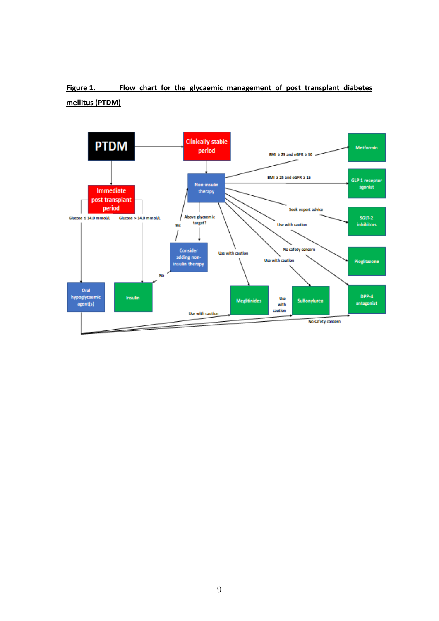## Figure 1. Flow chart for the glycaemic management of post transplant diabetes **mellitus (PTDM)**

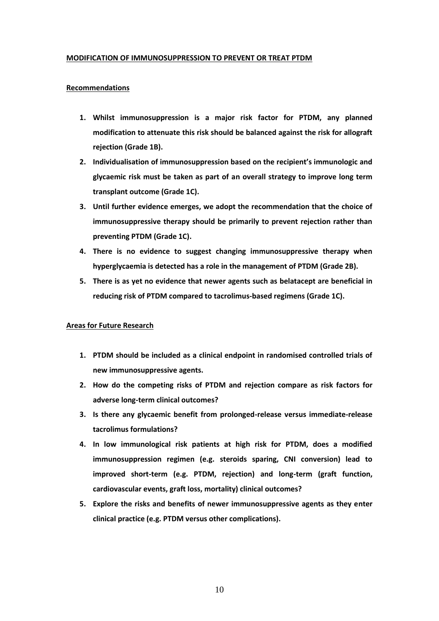#### **MODIFICATION OF IMMUNOSUPPRESSION TO PREVENT OR TREAT PTDM**

#### **Recommendations**

- **1. Whilst immunosuppression is a major risk factor for PTDM, any planned modification to attenuate this risk should be balanced against the risk for allograft rejection (Grade 1B).**
- **2. Individualisation of immunosuppression based on the recipient's immunologic and glycaemic risk must be taken as part of an overall strategy to improve long term transplant outcome (Grade 1C).**
- **3. Until further evidence emerges, we adopt the recommendation that the choice of immunosuppressive therapy should be primarily to prevent rejection rather than preventing PTDM (Grade 1C).**
- **4. There is no evidence to suggest changing immunosuppressive therapy when hyperglycaemia is detected has a role in the management of PTDM (Grade 2B).**
- **5. There is as yet no evidence that newer agents such as belatacept are beneficial in reducing risk of PTDM compared to tacrolimus-based regimens (Grade 1C).**

## **Areas for Future Research**

- **1. PTDM should be included as a clinical endpoint in randomised controlled trials of new immunosuppressive agents.**
- **2. How do the competing risks of PTDM and rejection compare as risk factors for adverse long-term clinical outcomes?**
- **3. Is there any glycaemic benefit from prolonged-release versus immediate-release tacrolimus formulations?**
- **4. In low immunological risk patients at high risk for PTDM, does a modified immunosuppression regimen (e.g. steroids sparing, CNI conversion) lead to improved short-term (e.g. PTDM, rejection) and long-term (graft function, cardiovascular events, graft loss, mortality) clinical outcomes?**
- **5. Explore the risks and benefits of newer immunosuppressive agents as they enter clinical practice (e.g. PTDM versus other complications).**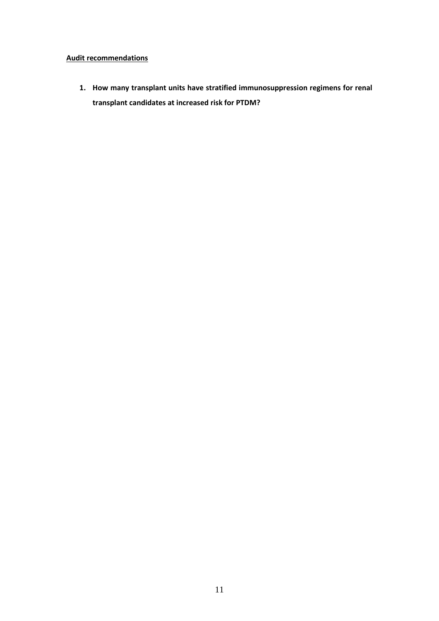## **Audit recommendations**

**1. How many transplant units have stratified immunosuppression regimens for renal transplant candidates at increased risk for PTDM?**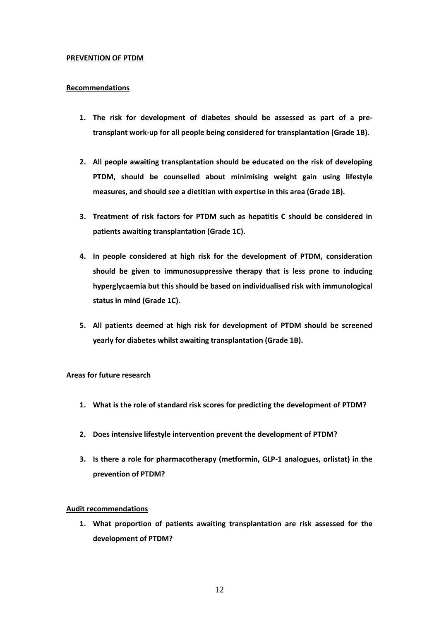#### **PREVENTION OF PTDM**

#### **Recommendations**

- **1. The risk for development of diabetes should be assessed as part of a pretransplant work-up for all people being considered for transplantation (Grade 1B).**
- **2. All people awaiting transplantation should be educated on the risk of developing PTDM, should be counselled about minimising weight gain using lifestyle measures, and should see a dietitian with expertise in this area (Grade 1B).**
- **3. Treatment of risk factors for PTDM such as hepatitis C should be considered in patients awaiting transplantation (Grade 1C).**
- **4. In people considered at high risk for the development of PTDM, consideration should be given to immunosuppressive therapy that is less prone to inducing hyperglycaemia but this should be based on individualised risk with immunological status in mind (Grade 1C).**
- **5. All patients deemed at high risk for development of PTDM should be screened yearly for diabetes whilst awaiting transplantation (Grade 1B).**

## **Areas for future research**

- **1. What is the role of standard risk scores for predicting the development of PTDM?**
- **2. Does intensive lifestyle intervention prevent the development of PTDM?**
- **3. Is there a role for pharmacotherapy (metformin, GLP-1 analogues, orlistat) in the prevention of PTDM?**

## **Audit recommendations**

**1. What proportion of patients awaiting transplantation are risk assessed for the development of PTDM?**